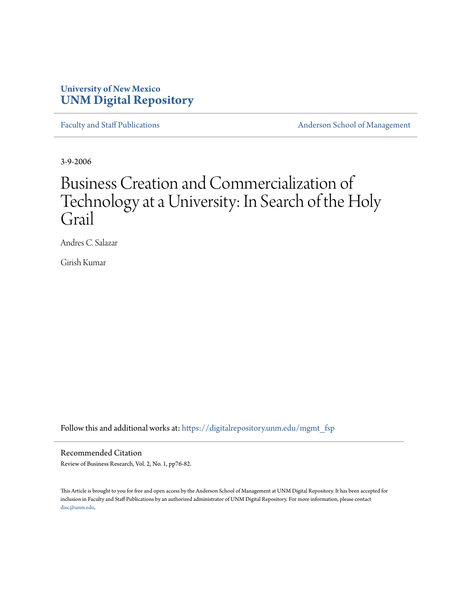# **University of New Mexico [UNM Digital Repository](https://digitalrepository.unm.edu?utm_source=digitalrepository.unm.edu%2Fmgmt_fsp%2F12&utm_medium=PDF&utm_campaign=PDFCoverPages)**

[Faculty and Staff Publications](https://digitalrepository.unm.edu/mgmt_fsp?utm_source=digitalrepository.unm.edu%2Fmgmt_fsp%2F12&utm_medium=PDF&utm_campaign=PDFCoverPages) **[Anderson School of Management](https://digitalrepository.unm.edu/mgmt?utm_source=digitalrepository.unm.edu%2Fmgmt_fsp%2F12&utm_medium=PDF&utm_campaign=PDFCoverPages)** 

3-9-2006

# Business Creation and Commercialization of Technology at a University: In Search of the Holy Grail

Andres C. Salazar

Girish Kumar

Follow this and additional works at: [https://digitalrepository.unm.edu/mgmt\\_fsp](https://digitalrepository.unm.edu/mgmt_fsp?utm_source=digitalrepository.unm.edu%2Fmgmt_fsp%2F12&utm_medium=PDF&utm_campaign=PDFCoverPages)

# Recommended Citation

Review of Business Research, Vol. 2, No. 1, pp76-82.

This Article is brought to you for free and open access by the Anderson School of Management at UNM Digital Repository. It has been accepted for inclusion in Faculty and Staff Publications by an authorized administrator of UNM Digital Repository. For more information, please contact [disc@unm.edu](mailto:disc@unm.edu).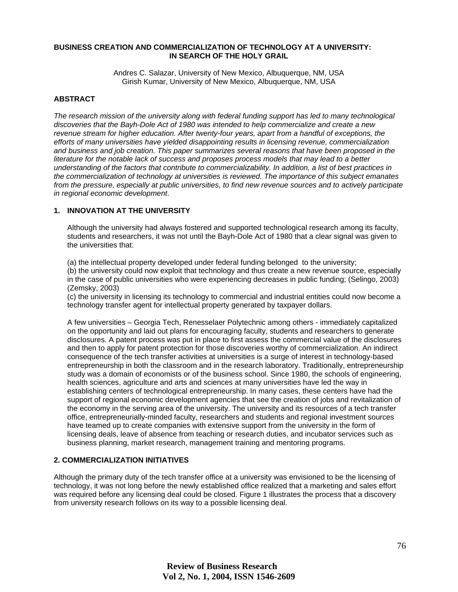#### **BUSINESS CREATION AND COMMERCIALIZATION OF TECHNOLOGY AT A UNIVERSITY: IN SEARCH OF THE HOLY GRAIL**

Andres C. Salazar, University of New Mexico, Albuquerque, NM, USA Girish Kumar, University of New Mexico, Albuquerque, NM, USA

#### **ABSTRACT**

*The research mission of the university along with federal funding support has led to many technological discoveries that the Bayh-Dole Act of 1980 was intended to help commercialize and create a new revenue stream for higher education. After twenty-four years, apart from a handful of exceptions, the efforts of many universities have yielded disappointing results in licensing revenue, commercialization and business and job creation. This paper summarizes several reasons that have been proposed in the literature for the notable lack of success and proposes process models that may lead to a better understanding of the factors that contribute to commercializability. In addition, a list of best practices in the commercialization of technology at universities is reviewed. The importance of this subject emanates from the pressure, especially at public universities, to find new revenue sources and to actively participate in regional economic development*.

#### **1. INNOVATION AT THE UNIVERSITY**

Although the university had always fostered and supported technological research among its faculty, students and researchers, it was not until the Bayh-Dole Act of 1980 that a clear signal was given to the universities that:

(a) the intellectual property developed under federal funding belonged to the university;

(b) the university could now exploit that technology and thus create a new revenue source, especially in the case of public universities who were experiencing decreases in public funding; (Selingo, 2003) (Zemsky, 2003)

(c) the university in licensing its technology to commercial and industrial entities could now become a technology transfer agent for intellectual property generated by taxpayer dollars.

A few universities – Georgia Tech, Renesselaer Polytechnic among others - immediately capitalized on the opportunity and laid out plans for encouraging faculty, students and researchers to generate disclosures. A patent process was put in place to first assess the commercial value of the disclosures and then to apply for patent protection for those discoveries worthy of commercialization. An indirect consequence of the tech transfer activities at universities is a surge of interest in technology-based entrepreneurship in both the classroom and in the research laboratory. Traditionally, entrepreneurship study was a domain of economists or of the business school. Since 1980, the schools of engineering, health sciences, agriculture and arts and sciences at many universities have led the way in establishing centers of technological entrepreneurship. In many cases, these centers have had the support of regional economic development agencies that see the creation of jobs and revitalization of the economy in the serving area of the university. The university and its resources of a tech transfer office, entrepreneurially-minded faculty, researchers and students and regional investment sources have teamed up to create companies with extensive support from the university in the form of licensing deals, leave of absence from teaching or research duties, and incubator services such as business planning, market research, management training and mentoring programs.

#### **2. COMMERCIALIZATION INITIATIVES**

Although the primary duty of the tech transfer office at a university was envisioned to be the licensing of technology, it was not long before the newly established office realized that a marketing and sales effort was required before any licensing deal could be closed. Figure 1 illustrates the process that a discovery from university research follows on its way to a possible licensing deal.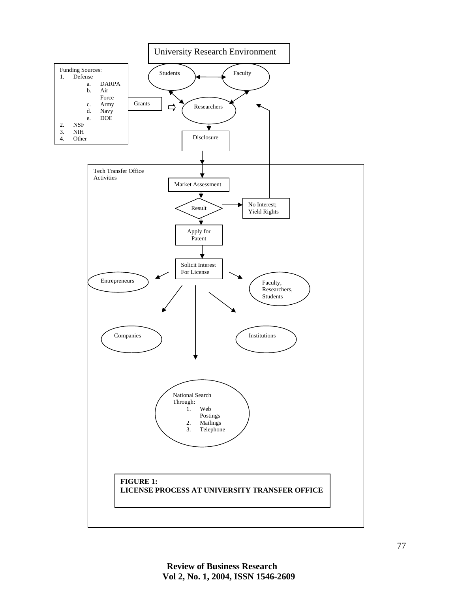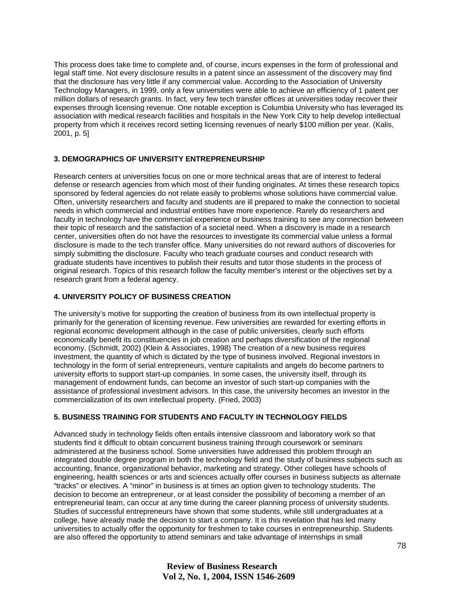This process does take time to complete and, of course, incurs expenses in the form of professional and legal staff time. Not every disclosure results in a patent since an assessment of the discovery may find that the disclosure has very little if any commercial value. According to the Association of University Technology Managers, in 1999, only a few universities were able to achieve an efficiency of 1 patent per million dollars of research grants. In fact, very few tech transfer offices at universities today recover their expenses through licensing revenue. One notable exception is Columbia University who has leveraged its association with medical research facilities and hospitals in the New York City to help develop intellectual property from which it receives record setting licensing revenues of nearly \$100 million per year. (Kalis, 2001, p. 5]

# **3. DEMOGRAPHICS OF UNIVERSITY ENTREPRENEURSHIP**

Research centers at universities focus on one or more technical areas that are of interest to federal defense or research agencies from which most of their funding originates. At times these research topics sponsored by federal agencies do not relate easily to problems whose solutions have commercial value. Often, university researchers and faculty and students are ill prepared to make the connection to societal needs in which commercial and industrial entities have more experience. Rarely do researchers and faculty in technology have the commercial experience or business training to see any connection between their topic of research and the satisfaction of a societal need. When a discovery is made in a research center, universities often do not have the resources to investigate its commercial value unless a formal disclosure is made to the tech transfer office. Many universities do not reward authors of discoveries for simply submitting the disclosure. Faculty who teach graduate courses and conduct research with graduate students have incentives to publish their results and tutor those students in the process of original research. Topics of this research follow the faculty member's interest or the objectives set by a research grant from a federal agency.

#### **4. UNIVERSITY POLICY OF BUSINESS CREATION**

The university's motive for supporting the creation of business from its own intellectual property is primarily for the generation of licensing revenue. Few universities are rewarded for exerting efforts in regional economic development although in the case of public universities, clearly such efforts economically benefit its constituencies in job creation and perhaps diversification of the regional economy. (Schmidt, 2002) (Klein & Associates, 1998) The creation of a new business requires investment, the quantity of which is dictated by the type of business involved. Regional investors in technology in the form of serial entrepreneurs, venture capitalists and angels do become partners to university efforts to support start-up companies. In some cases, the university itself, through its management of endowment funds, can become an investor of such start-up companies with the assistance of professional investment advisors. In this case, the university becomes an investor in the commercialization of its own intellectual property. (Fried, 2003)

# **5. BUSINESS TRAINING FOR STUDENTS AND FACULTY IN TECHNOLOGY FIELDS**

Advanced study in technology fields often entails intensive classroom and laboratory work so that students find it difficult to obtain concurrent business training through coursework or seminars administered at the business school. Some universities have addressed this problem through an integrated double degree program in both the technology field and the study of business subjects such as accounting, finance, organizational behavior, marketing and strategy. Other colleges have schools of engineering, health sciences or arts and sciences actually offer courses in business subjects as alternate "tracks" or electives. A "minor" in business is at times an option given to technology students. The decision to become an entrepreneur, or at least consider the possibility of becoming a member of an entrepreneurial team, can occur at any time during the career planning process of university students. Studies of successful entrepreneurs have shown that some students, while still undergraduates at a college, have already made the decision to start a company. It is this revelation that has led many universities to actually offer the opportunity for freshmen to take courses in entrepreneurship. Students are also offered the opportunity to attend seminars and take advantage of internships in small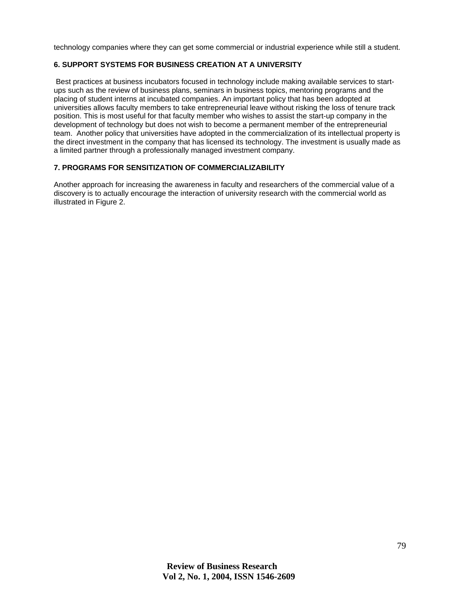technology companies where they can get some commercial or industrial experience while still a student.

#### **6. SUPPORT SYSTEMS FOR BUSINESS CREATION AT A UNIVERSITY**

 Best practices at business incubators focused in technology include making available services to startups such as the review of business plans, seminars in business topics, mentoring programs and the placing of student interns at incubated companies. An important policy that has been adopted at universities allows faculty members to take entrepreneurial leave without risking the loss of tenure track position. This is most useful for that faculty member who wishes to assist the start-up company in the development of technology but does not wish to become a permanent member of the entrepreneurial team. Another policy that universities have adopted in the commercialization of its intellectual property is the direct investment in the company that has licensed its technology. The investment is usually made as a limited partner through a professionally managed investment company.

#### **7. PROGRAMS FOR SENSITIZATION OF COMMERCIALIZABILITY**

Another approach for increasing the awareness in faculty and researchers of the commercial value of a discovery is to actually encourage the interaction of university research with the commercial world as illustrated in Figure 2.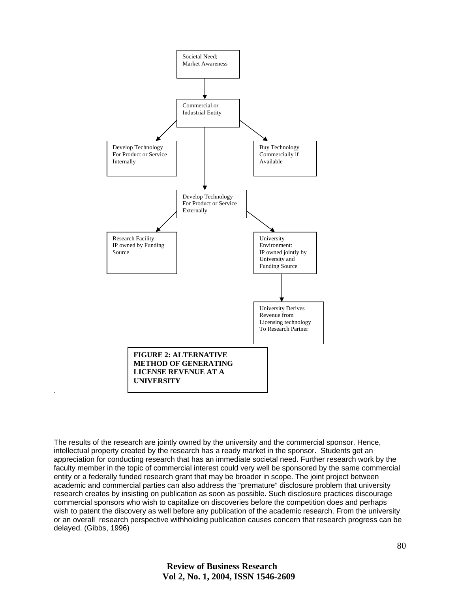

The results of the research are jointly owned by the university and the commercial sponsor. Hence, intellectual property created by the research has a ready market in the sponsor. Students get an appreciation for conducting research that has an immediate societal need. Further research work by the faculty member in the topic of commercial interest could very well be sponsored by the same commercial entity or a federally funded research grant that may be broader in scope. The joint project between academic and commercial parties can also address the "premature" disclosure problem that university research creates by insisting on publication as soon as possible. Such disclosure practices discourage commercial sponsors who wish to capitalize on discoveries before the competition does and perhaps wish to patent the discovery as well before any publication of the academic research. From the university or an overall research perspective withholding publication causes concern that research progress can be delayed. (Gibbs, 1996)

.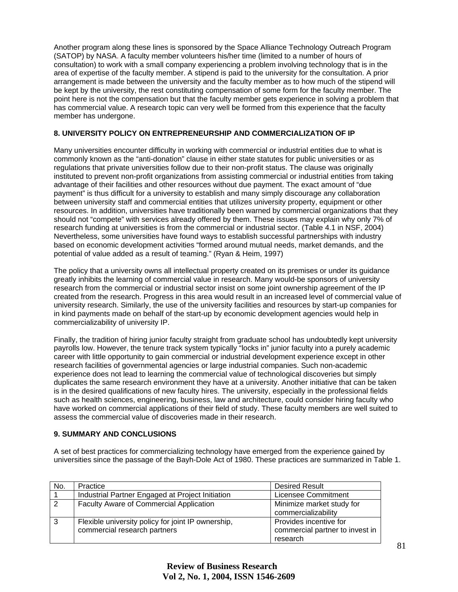Another program along these lines is sponsored by the Space Alliance Technology Outreach Program (SATOP) by NASA. A faculty member volunteers his/her time (limited to a number of hours of consultation) to work with a small company experiencing a problem involving technology that is in the area of expertise of the faculty member. A stipend is paid to the university for the consultation. A prior arrangement is made between the university and the faculty member as to how much of the stipend will be kept by the university, the rest constituting compensation of some form for the faculty member. The point here is not the compensation but that the faculty member gets experience in solving a problem that has commercial value. A research topic can very well be formed from this experience that the faculty member has undergone.

# **8. UNIVERSITY POLICY ON ENTREPRENEURSHIP AND COMMERCIALIZATION OF IP**

Many universities encounter difficulty in working with commercial or industrial entities due to what is commonly known as the "anti-donation" clause in either state statutes for public universities or as regulations that private universities follow due to their non-profit status. The clause was originally instituted to prevent non-profit organizations from assisting commercial or industrial entities from taking advantage of their facilities and other resources without due payment. The exact amount of "due payment" is thus difficult for a university to establish and many simply discourage any collaboration between university staff and commercial entities that utilizes university property, equipment or other resources. In addition, universities have traditionally been warned by commercial organizations that they should not "compete" with services already offered by them. These issues may explain why only 7% of research funding at universities is from the commercial or industrial sector. (Table 4.1 in NSF, 2004) Nevertheless, some universities have found ways to establish successful partnerships with industry based on economic development activities "formed around mutual needs, market demands, and the potential of value added as a result of teaming." (Ryan & Heim, 1997)

The policy that a university owns all intellectual property created on its premises or under its guidance greatly inhibits the learning of commercial value in research. Many would-be sponsors of university research from the commercial or industrial sector insist on some joint ownership agreement of the IP created from the research. Progress in this area would result in an increased level of commercial value of university research. Similarly, the use of the university facilities and resources by start-up companies for in kind payments made on behalf of the start-up by economic development agencies would help in commercializability of university IP.

Finally, the tradition of hiring junior faculty straight from graduate school has undoubtedly kept university payrolls low. However, the tenure track system typically "locks in" junior faculty into a purely academic career with little opportunity to gain commercial or industrial development experience except in other research facilities of governmental agencies or large industrial companies. Such non-academic experience does not lead to learning the commercial value of technological discoveries but simply duplicates the same research environment they have at a university. Another initiative that can be taken is in the desired qualifications of new faculty hires. The university, especially in the professional fields such as health sciences, engineering, business, law and architecture, could consider hiring faculty who have worked on commercial applications of their field of study. These faculty members are well suited to assess the commercial value of discoveries made in their research.

# **9. SUMMARY AND CONCLUSIONS**

A set of best practices for commercializing technology have emerged from the experience gained by universities since the passage of the Bayh-Dole Act of 1980. These practices are summarized in Table 1.

| No.            | Practice                                           | <b>Desired Result</b>           |
|----------------|----------------------------------------------------|---------------------------------|
|                | Industrial Partner Engaged at Project Initiation   | Licensee Commitment             |
| $\overline{2}$ | Faculty Aware of Commercial Application            | Minimize market study for       |
|                |                                                    | commercializability             |
| l 3            | Flexible university policy for joint IP ownership, | Provides incentive for          |
|                | commercial research partners                       | commercial partner to invest in |
|                |                                                    | research                        |